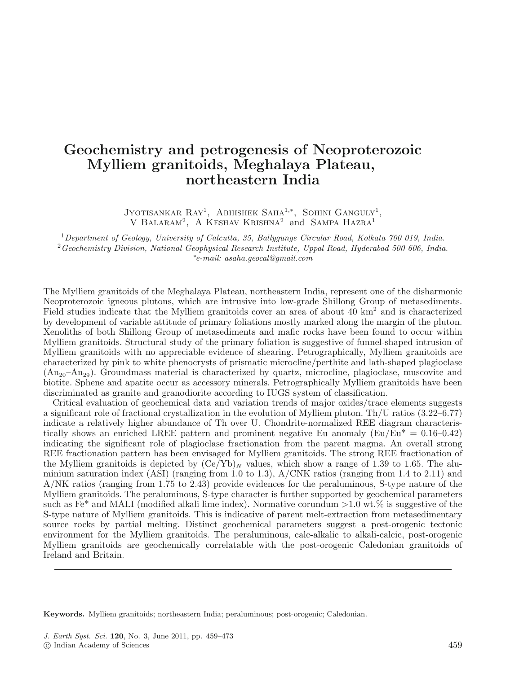# **Geochemistry and petrogenesis of Neoproterozoic Mylliem granitoids, Meghalaya Plateau, northeastern India**

Jyotisankar Ray<sup>1</sup>, Abhishek Saha1,<sup>∗</sup>, Sohini Ganguly<sup>1</sup>, V Balaram<sup>2</sup>, A Keshav Krishna<sup>2</sup> and Sampa Hazra<sup>1</sup>

<sup>1</sup>Department of Geology, University of Calcutta, 35, Ballygunge Circular Road, Kolkata 700 019, India. <sup>2</sup> Geochemistry Division, National Geophysical Research Institute, Uppal Road, Hyderabad 500 606, India. ∗ e-mail: asaha.geocal@gmail.com

The Mylliem granitoids of the Meghalaya Plateau, northeastern India, represent one of the disharmonic Neoproterozoic igneous plutons, which are intrusive into low-grade Shillong Group of metasediments. Field studies indicate that the Mylliem granitoids cover an area of about  $\overline{40}$  km<sup>2</sup> and is characterized by development of variable attitude of primary foliations mostly marked along the margin of the pluton. Xenoliths of both Shillong Group of metasediments and mafic rocks have been found to occur within Mylliem granitoids. Structural study of the primary foliation is suggestive of funnel-shaped intrusion of Mylliem granitoids with no appreciable evidence of shearing. Petrographically, Mylliem granitoids are characterized by pink to white phenocrysts of prismatic microcline/perthite and lath-shaped plagioclase  $(An_{20}-An_{29})$ . Groundmass material is characterized by quartz, microcline, plagioclase, muscovite and biotite. Sphene and apatite occur as accessory minerals. Petrographically Mylliem granitoids have been discriminated as granite and granodiorite according to IUGS system of classification.

Critical evaluation of geochemical data and variation trends of major oxides/trace elements suggests a significant role of fractional crystallization in the evolution of Mylliem pluton. Th/U ratios (3.22–6.77) indicate a relatively higher abundance of Th over U. Chondrite-normalized REE diagram characteristically shows an enriched LREE pattern and prominent negative Eu anomaly  $(Eu/Eu^* = 0.16-0.42)$ indicating the significant role of plagioclase fractionation from the parent magma. An overall strong REE fractionation pattern has been envisaged for Mylliem granitoids. The strong REE fractionation of the Mylliem granitoids is depicted by  $(Ce/Yb)<sub>N</sub>$  values, which show a range of 1.39 to 1.65. The aluminium saturation index (ASI) (ranging from 1.0 to 1.3), A/CNK ratios (ranging from 1.4 to 2.11) and A/NK ratios (ranging from 1.75 to 2.43) provide evidences for the peraluminous, S-type nature of the Mylliem granitoids. The peraluminous, S-type character is further supported by geochemical parameters such as Fe<sup>\*</sup> and MALI (modified alkali lime index). Normative corundum  $>1.0$  wt.% is suggestive of the S-type nature of Mylliem granitoids. This is indicative of parent melt-extraction from metasedimentary source rocks by partial melting. Distinct geochemical parameters suggest a post-orogenic tectonic environment for the Mylliem granitoids. The peraluminous, calc-alkalic to alkali-calcic, post-orogenic Mylliem granitoids are geochemically correlatable with the post-orogenic Caledonian granitoids of Ireland and Britain.

**Keywords.** Mylliem granitoids; northeastern India; peraluminous; post-orogenic; Caledonian.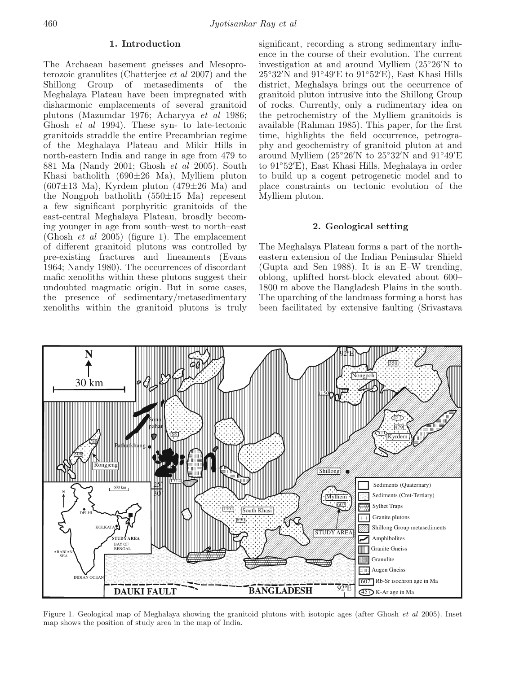## **1. Introduction**

The Archaean basement gneisses and Mesoproterozoic granulites (Chatterjee et al 2007) and the Shillong Group of metasediments of the Meghalaya Plateau have been impregnated with disharmonic emplacements of several granitoid plutons (Mazumdar 1976; Acharyya et al 1986; Ghosh et al 1994). These syn- to late-tectonic granitoids straddle the entire Precambrian regime of the Meghalaya Plateau and Mikir Hills in north-eastern India and range in age from 479 to 881 Ma (Nandy 2001; Ghosh et al 2005). South Khasi batholith (690±26 Ma), Mylliem pluton  $(607\pm13 \text{ Ma})$ , Kyrdem pluton  $(479\pm26 \text{ Ma})$  and the Nongpoh batholith  $(550\pm15)$  Ma) represent a few significant porphyritic granitoids of the east-central Meghalaya Plateau, broadly becoming younger in age from south–west to north–east (Ghosh et al 2005) (figure 1). The emplacement of different granitoid plutons was controlled by pre-existing fractures and lineaments (Evans 1964; Nandy 1980). The occurrences of discordant mafic xenoliths within these plutons suggest their undoubted magmatic origin. But in some cases, the presence of sedimentary/metasedimentary xenoliths within the granitoid plutons is truly significant, recording a strong sedimentary influence in the course of their evolution. The current investigation at and around Mylliem (25◦26 N to 25◦32 N and 91◦49 E to 91◦52 E), East Khasi Hills district, Meghalaya brings out the occurrence of granitoid pluton intrusive into the Shillong Group of rocks. Currently, only a rudimentary idea on the petrochemistry of the Mylliem granitoids is available (Rahman 1985). This paper, for the first time, highlights the field occurrence, petrography and geochemistry of granitoid pluton at and around Mylliem (25◦26 N to 25◦32 N and 91◦49 E to 91◦52 E), East Khasi Hills, Meghalaya in order to build up a cogent petrogenetic model and to place constraints on tectonic evolution of the Mylliem pluton.

# **2. Geological setting**

The Meghalaya Plateau forms a part of the northeastern extension of the Indian Peninsular Shield (Gupta and Sen 1988). It is an E–W trending, oblong, uplifted horst-block elevated about 600– 1800 m above the Bangladesh Plains in the south. The uparching of the landmass forming a horst has been facilitated by extensive faulting (Srivastava



Figure 1. Geological map of Meghalaya showing the granitoid plutons with isotopic ages (after Ghosh et al 2005). Inset map shows the position of study area in the map of India.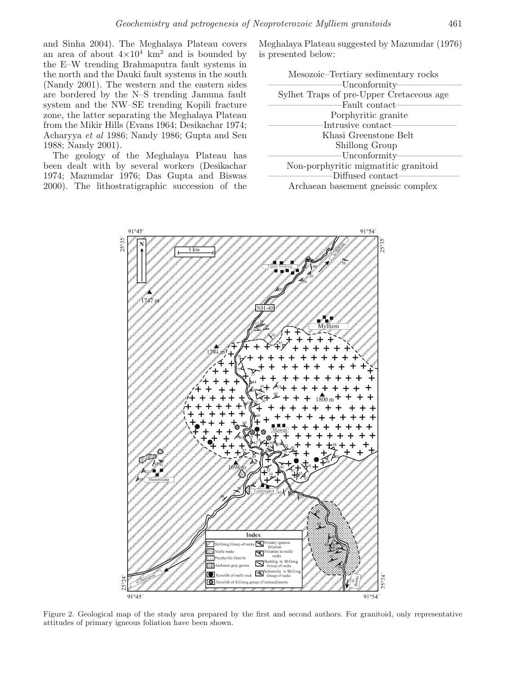and Sinha 2004). The Meghalaya Plateau covers an area of about  $4 \times 10^4$  km<sup>2</sup> and is bounded by the E–W trending Brahmaputra fault systems in the north and the Dauki fault systems in the south (Nandy 2001). The western and the eastern sides are bordered by the N–S trending Jamuna fault system and the NW–SE trending Kopili fracture zone, the latter separating the Meghalaya Plateau from the Mikir Hills (Evans 1964; Desikachar 1974; Acharyya et al 1986; Nandy 1986; Gupta and Sen 1988; Nandy 2001).

The geology of the Meghalaya Plateau has been dealt with by several workers (Desikachar 1974; Mazumdar 1976; Das Gupta and Biswas 2000). The lithostratigraphic succession of the

Meghalaya Plateau suggested by Mazumdar (1976) is presented below:

| Mesozoic–Tertiary sedimentary rocks      |  |  |  |  |  |  |  |
|------------------------------------------|--|--|--|--|--|--|--|
| -Unconformity-                           |  |  |  |  |  |  |  |
| Sylhet Traps of pre-Upper Cretaceous age |  |  |  |  |  |  |  |
| -Fault contact-                          |  |  |  |  |  |  |  |
| Porphyritic granite                      |  |  |  |  |  |  |  |
| Intrusive contact-                       |  |  |  |  |  |  |  |
| Khasi Greenstone Belt                    |  |  |  |  |  |  |  |
| Shillong Group                           |  |  |  |  |  |  |  |
| -Unconformity-                           |  |  |  |  |  |  |  |
| Non-porphyritic migmatitic granitoid     |  |  |  |  |  |  |  |
| Diffused contact-                        |  |  |  |  |  |  |  |
| Archaean basement gneissic complex       |  |  |  |  |  |  |  |



Figure 2. Geological map of the study area prepared by the first and second authors. For granitoid, only representative attitudes of primary igneous foliation have been shown.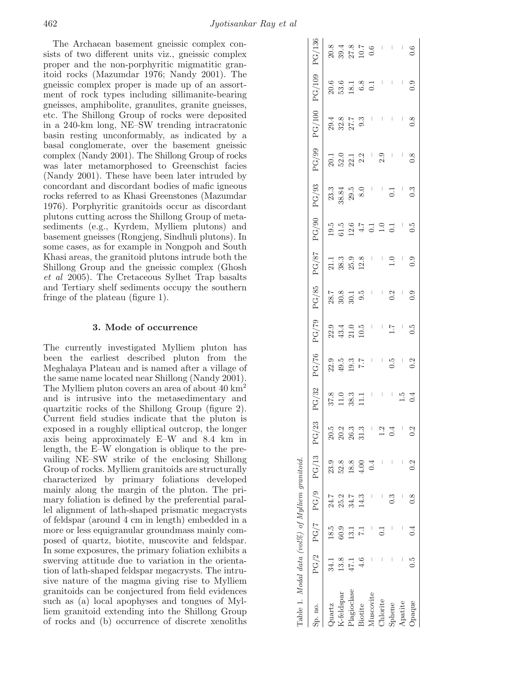The Archaean basement gneissic complex consists of two different units viz., gneissic complex proper and the non-porphyritic migmatitic granitoid rocks (Mazumdar 1976; Nandy 2001). The gneissic complex proper is made up of an assortment of rock types including sillimanite-bearing gneisses, amphibolite, granulites, granite gneisses, etc. The Shillong Group of rocks were deposited in a 240-km long, NE–SW trending intracratonic basin resting unconformably, as indicated by a basal conglomerate, over the basement gneissic complex (Nandy 2001). The Shillong Group of rocks was later metamorphosed to Greenschist facies (Nandy 2001). These have been later intruded by concordant and discordant bodies of mafic igneous rocks referred to as Khasi Greenstones (Mazumdar 1976). Porphyritic granitoids occur as discordant plutons cutting across the Shillong Group of metasediments (e.g., Kyrdem, Mylliem plutons) and basement gneisses (Rongjeng, Sindhuli plutons). In some cases, as for example in Nongpoh and South Khasi areas, the granitoid plutons intrude both the Shillong Group and the gneissic complex (Ghosh et al 2005). The Cretaceous Sylhet Trap basalts and Tertiary shelf sediments occupy the southern fringe of the plateau (figure 1).

# **3. Mode of occurrence**

The currently investigated Mylliem pluton has been the earliest described pluton from the Meghalaya Plateau and is named after a village of the same name located near Shillong (Nandy 2001). The Mylliem pluton covers an area of about 40 km<sup>2</sup> and is intrusive into the metasedimentary and quartzitic rocks of the Shillong Group (figure 2). Current field studies indicate that the pluton is exposed in a roughly elliptical outcrop, the longer axis being approximately E–W and 8.4 km in length, the E–W elongation is oblique to the prevailing NE–SW strike of the enclosing Shillong Group of rocks. Mylliem granitoids are structurally characterized by primary foliations developed mainly along the margin of the pluton. The primary foliation is defined by the preferential parallel alignment of lath-shaped prismatic megacrysts of feldspar (around 4 cm in length) embedded in a more or less equigranular groundmass mainly composed of quartz, biotite, muscovite and feldspar. In some exposures, the primary foliation exhibits a swerving attitude due to variation in the orientation of lath-shaped feldspar megacrysts. The intrusive nature of the magma giving rise to Mylliem granitoids can be conjectured from field evidences such as (a) local apophyses and tongues of Mylliem granitoid extending into the Shillong Group of rocks and (b) occurrence of discrete xenoliths

| ${\rm Table~1.~Modal~data ~(vol\%)~of~Mylliem~gravitoid.}$ |               |                  |                                              |                                      |                            |                                                             |         |                                       |                                     |                     |                                                         |                                            |                          |                                          |                                             |                                                               |
|------------------------------------------------------------|---------------|------------------|----------------------------------------------|--------------------------------------|----------------------------|-------------------------------------------------------------|---------|---------------------------------------|-------------------------------------|---------------------|---------------------------------------------------------|--------------------------------------------|--------------------------|------------------------------------------|---------------------------------------------|---------------------------------------------------------------|
| p. no.                                                     |               |                  |                                              | $PG/2$ $PG/7$ $PG/9$ $PG/13$ $PG/23$ |                            | PG/32                                                       | PG/76   | PG/79                                 | PG/85                               | PG/87               | PG/90                                                   | PG/93                                      | PG/99                    | PG/100                                   | PG/109                                      | PG/136                                                        |
| juartz                                                     | 34.1          | 18.5             | 24.7                                         | 23.9                                 | 20.5                       |                                                             | 22.9    |                                       |                                     | 21.1                | 19.5                                                    |                                            | 20.1                     | 29.4                                     |                                             |                                                               |
| -feldspar                                                  | 13.8          | 60.9             | 25.2                                         | 52.8                                 |                            |                                                             | 49.5    |                                       |                                     | 38.3                | $61.5$<br>$12.6$                                        | $23.3$<br>$38.84$                          |                          |                                          |                                             |                                                               |
| lagioclase                                                 | 47.1          | 13.1             | 34.7                                         | 18.8                                 | $20.2$<br>$26.3$<br>$31.3$ | $\begin{array}{c} 37.8 \\ 11.0 \\ 38.3 \\ 11.1 \end{array}$ | 19.3    | 22.9<br>43.10.5<br>10.5               | $28.7$<br>$30.8$<br>$30.1$<br>$9.5$ |                     |                                                         | $\begin{array}{c} 29.5 \\ 8.0 \end{array}$ | $52.1$<br>$2.1$<br>$2.2$ |                                          |                                             |                                                               |
| siotite                                                    | 4.6           | $\overline{11}$  | 14.3                                         | $4.00\,$                             |                            |                                                             |         |                                       |                                     | $\frac{25.9}{12.8}$ | $\begin{array}{c} 4.7 \\ 0.1 \\ 1.0 \\ 0.1 \end{array}$ |                                            |                          | $\frac{8}{27}$ , 7<br>$\frac{8}{29}$ 1.7 | $20.6$<br>$53.1$<br>$6.3$<br>$6.3$<br>$0.1$ | $\begin{array}{c} 20.8 \\ 39.4 \\ 21.7 \\ 0.6 \\ \end{array}$ |
| Iuscovite                                                  |               |                  | $\begin{array}{c} \n \downarrow \end{array}$ | $0.4\,$                              |                            | $\vert$                                                     | $\mid$  | $\begin{array}{c} \hline \end{array}$ | $\frac{1}{2}$                       | $\mid$              |                                                         | $\mid$                                     |                          |                                          |                                             |                                                               |
| hlorite                                                    |               | $\overline{0}$ : |                                              |                                      | 1.2                        | l                                                           | $\vert$ | $\mathbb{L}$                          |                                     | $\mid$              |                                                         | $\mathbb{F}_q$                             | $\frac{1}{2}$            | L.                                       |                                             | $\begin{array}{c} \square \end{array}$                        |
| sphene                                                     |               |                  | $0.\overline{3}$                             |                                      | 0.4                        | L                                                           | 0.5     | $\overline{1.1}$                      | $\frac{1}{2}$                       | $\frac{0}{1}$       |                                                         | 0.1                                        | $\mathbb{L}$             | $\mathbb{L}$                             | $\mid$                                      | $\Gamma$                                                      |
| Apatite                                                    |               |                  |                                              |                                      |                            | $\frac{5}{1}$                                               | I       | ļ                                     | $\mid$                              | $\mid$              | $\overline{\phantom{a}}$                                | ļ                                          | $\mid$                   | $\mid$                                   | $\mid$                                      | $\mathbb{L}$                                                  |
| paque                                                      | $\frac{5}{0}$ | 0.4              | 0.8                                          | 0.2                                  | 0.2                        | 0.4                                                         | 0.2     | $\ddot{0}$                            | 0.9                                 | 0.9                 | $\ddot{0}$                                              | $0.\overline{3}$                           | 0.8                      | 0.8                                      | 0.9                                         | $0.\overline{6}$                                              |
|                                                            |               |                  |                                              |                                      |                            |                                                             |         |                                       |                                     |                     |                                                         |                                            |                          |                                          |                                             |                                                               |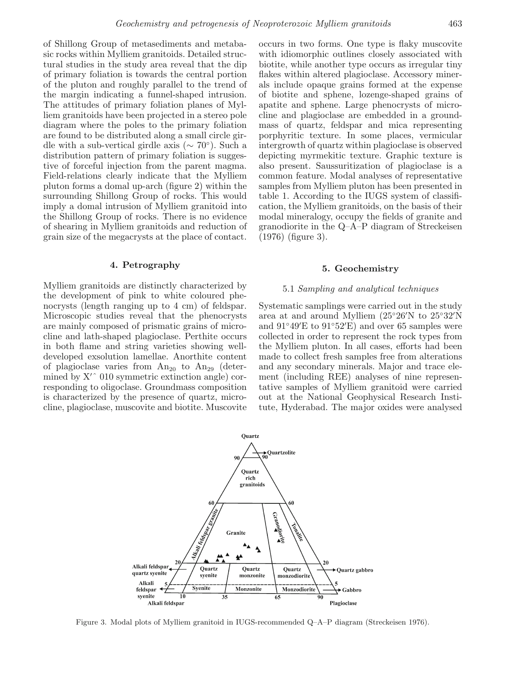of Shillong Group of metasediments and metabasic rocks within Mylliem granitoids. Detailed structural studies in the study area reveal that the dip of primary foliation is towards the central portion of the pluton and roughly parallel to the trend of the margin indicating a funnel-shaped intrusion. The attitudes of primary foliation planes of Mylliem granitoids have been projected in a stereo pole diagram where the poles to the primary foliation are found to be distributed along a small circle girdle with a sub-vertical girdle axis (∼ 70◦). Such a distribution pattern of primary foliation is suggestive of forceful injection from the parent magma. Field-relations clearly indicate that the Mylliem pluton forms a domal up-arch (figure 2) within the surrounding Shillong Group of rocks. This would imply a domal intrusion of Mylliem granitoid into the Shillong Group of rocks. There is no evidence of shearing in Mylliem granitoids and reduction of grain size of the megacrysts at the place of contact.

#### **4. Petrography**

Mylliem granitoids are distinctly characterized by the development of pink to white coloured phenocrysts (length ranging up to 4 cm) of feldspar. Microscopic studies reveal that the phenocrysts are mainly composed of prismatic grains of microcline and lath-shaped plagioclase. Perthite occurs in both flame and string varieties showing welldeveloped exsolution lamellae. Anorthite content of plagioclase varies from  $An_{20}$  to  $An_{29}$  (determined by X ˆ 010 symmetric extinction angle) corresponding to oligoclase. Groundmass composition is characterized by the presence of quartz, microcline, plagioclase, muscovite and biotite. Muscovite occurs in two forms. One type is flaky muscovite with idiomorphic outlines closely associated with biotite, while another type occurs as irregular tiny flakes within altered plagioclase. Accessory minerals include opaque grains formed at the expense of biotite and sphene, lozenge-shaped grains of apatite and sphene. Large phenocrysts of microcline and plagioclase are embedded in a groundmass of quartz, feldspar and mica representing porphyritic texture. In some places, vermicular intergrowth of quartz within plagioclase is observed depicting myrmekitic texture. Graphic texture is also present. Saussuritization of plagioclase is a common feature. Modal analyses of representative samples from Mylliem pluton has been presented in table 1. According to the IUGS system of classification, the Mylliem granitoids, on the basis of their modal mineralogy, occupy the fields of granite and granodiorite in the Q–A–P diagram of Streckeisen (1976) (figure 3).

#### **5. Geochemistry**

#### 5.1 Sampling and analytical techniques

Systematic samplings were carried out in the study area at and around Mylliem (25◦26 N to 25◦32 N and 91◦49 E to 91◦52 E) and over 65 samples were collected in order to represent the rock types from the Mylliem pluton. In all cases, efforts had been made to collect fresh samples free from alterations and any secondary minerals. Major and trace element (including REE) analyses of nine representative samples of Mylliem granitoid were carried out at the National Geophysical Research Institute, Hyderabad. The major oxides were analysed



Figure 3. Modal plots of Mylliem granitoid in IUGS-recommended Q–A–P diagram (Streckeisen 1976).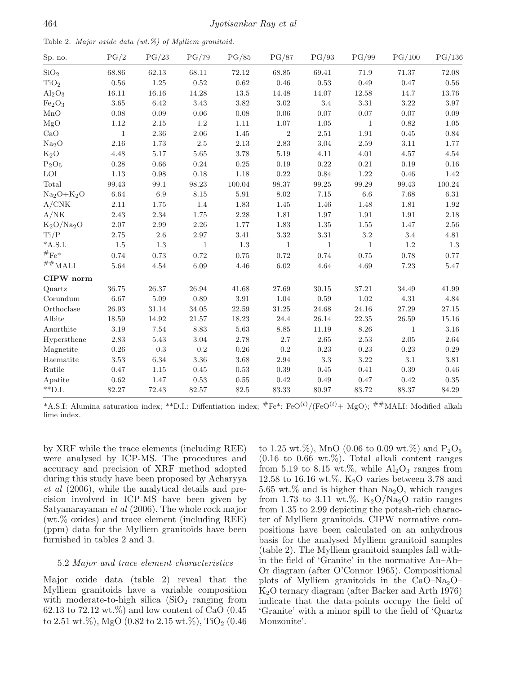Table 2. Major oxide data (wt.%) of Mylliem granitoid.

| Sp. no.                        | PG/2      | PG/23     | PG/79        | PG/85      | PG/87        | PG/93     | PG/99        | $\mathrm{PG}/100$ | PG/136     |
|--------------------------------|-----------|-----------|--------------|------------|--------------|-----------|--------------|-------------------|------------|
| SiO <sub>2</sub>               | 68.86     | 62.13     | 68.11        | 72.12      | 68.85        | 69.41     | 71.9         | 71.37             | 72.08      |
| TiO <sub>2</sub>               | $0.56\,$  | $1.25\,$  | $\rm 0.52$   | $\rm 0.62$ | $0.46\,$     | $0.53\,$  | 0.49         | $0.47\,$          | $0.56\,$   |
| $Al_2O_3$                      | 16.11     | $16.16\,$ | 14.28        | $13.5\,$   | 14.48        | 14.07     | 12.58        | 14.7              | 13.76      |
| Fe <sub>2</sub> O <sub>3</sub> | $3.65\,$  | $6.42\,$  | $3.43\,$     | $3.82\,$   | $3.02\,$     | $3.4\,$   | $3.31\,$     | $3.22\,$          | $3.97\,$   |
| MnO                            | 0.08      | 0.09      | $0.06\,$     | $0.08\,$   | 0.06         | $0.07\,$  | 0.07         | $0.07\,$          | 0.09       |
| MgO                            | 1.12      | 2.15      | $1.2\,$      | 1.11       | $1.07\,$     | $1.05\,$  | $\mathbf{1}$ | $\rm 0.82$        | 1.05       |
| CaO                            | $\,1\,$   | $2.36\,$  | $2.06\,$     | $1.45\,$   | $\sqrt{2}$   | $2.51\,$  | $1.91\,$     | $0.45\,$          | 0.84       |
| Na <sub>2</sub> O              | $2.16\,$  | 1.73      | $2.5\,$      | $2.13\,$   | $2.83\,$     | $3.04\,$  | $2.59\,$     | $3.11\,$          | 1.77       |
| $K_2O$                         | 4.48      | $5.17\,$  | $5.65\,$     | 3.78       | 5.19         | 4.11      | 4.01         | $4.57\,$          | 4.54       |
| $P_2O_5$                       | 0.28      | 0.66      | $\rm 0.24$   | 0.25       | 0.19         | $0.22\,$  | $\rm 0.21$   | 0.19              | 0.16       |
| $\rm LOI$                      | 1.13      | 0.98      | 0.18         | 1.18       | $0.22\,$     | 0.84      | 1.22         | 0.46              | 1.42       |
| Total                          | 99.43     | $99.1\,$  | 98.23        | $100.04\,$ | 98.37        | $99.25\,$ | $99.29\,$    | 99.43             | $100.24\,$ |
| $Na2O+K2O$                     | 6.64      | 6.9       | $8.15\,$     | $5.91\,$   | $8.02\,$     | $7.15\,$  | $6.6\,$      | 7.68              | $6.31\,$   |
| A/CNK                          | 2.11      | $1.75\,$  | 1.4          | 1.83       | 1.45         | 1.46      | 1.48         | $1.81\,$          | 1.92       |
| A/NK                           | 2.43      | $2.34\,$  | $1.75\,$     | 2.28       | $1.81\,$     | $1.97\,$  | 1.91         | $1.91\,$          | 2.18       |
| $K_2O/Na_2O$                   | $2.07\,$  | 2.99      | 2.26         | 1.77       | 1.83         | $1.35\,$  | 1.55         | 1.47              | 2.56       |
| Ti/P                           | 2.75      | $2.6\,$   | $2.97\,$     | 3.41       | $\!3.32$     | $3.31\,$  | $3.2\,$      | $3.4\,$           | $4.81\,$   |
| $*A.S.I.$                      | 1.5       | 1.3       | $\mathbf{1}$ | $1.3\,$    | $\mathbf{1}$ | 1         | $\mathbf{1}$ | $1.2\,$           | $1.3\,$    |
| $\rm ^{\#}Fe^{\ast}$           | 0.74      | 0.73      | $0.72\,$     | $0.75\,$   | $0.72\,$     | 0.74      | $0.75\,$     | $0.78\,$          | $0.77\,$   |
| $^{\# \#}\mathrm{MALI}$        | 5.64      | $4.54\,$  | 6.09         | $4.46\,$   | $6.02\,$     | $4.64\,$  | 4.69         | $7.23\,$          | 5.47       |
| CIPW norm                      |           |           |              |            |              |           |              |                   |            |
| Quartz                         | 36.75     | 26.37     | 26.94        | 41.68      | 27.69        | 30.15     | 37.21        | 34.49             | 41.99      |
| Corundum                       | 6.67      | 5.09      | 0.89         | 3.91       | 1.04         | $0.59\,$  | 1.02         | $4.31\,$          | 4.84       |
| Orthoclase                     | $26.93\,$ | $31.14\,$ | $34.05\,$    | 22.59      | $31.25\,$    | $24.68\,$ | 24.16        | 27.29             | $27.15\,$  |
| Albite                         | 18.59     | 14.92     | $21.57\,$    | 18.23      | 24.4         | $26.14\,$ | $22.35\,$    | $26.59\,$         | $15.16\,$  |
| Anorthite                      | $3.19\,$  | 7.54      | 8.83         | $5.63\,$   | 8.85         | 11.19     | $8.26\,$     | $\mathbf{1}$      | $3.16\,$   |
| Hypersthene                    | 2.83      | 5.43      | $3.04\,$     | 2.78       | $2.7\,$      | 2.65      | $2.53\,$     | $2.05\,$          | 2.64       |
| Magnetite                      | 0.26      | $0.3\,$   | 0.2          | $0.26\,$   | $\rm 0.2$    | 0.23      | 0.23         | 0.23              | $0.29\,$   |
| Haematite                      | $3.53\,$  | 6.34      | $3.36\,$     | $3.68\,$   | 2.94         | $\!3.3\,$ | 3.22         | $3.1\,$           | 3.81       |
| Rutile                         | 0.47      | 1.15      | $0.45\,$     | 0.53       | $0.39\,$     | $0.45\,$  | $0.41\,$     | $0.39\,$          | 0.46       |
| Apatite                        | 0.62      | 1.47      | $\rm 0.53$   | 0.55       | 0.42         | 0.49      | 0.47         | 0.42              | $0.35\,$   |
| $\rm ^{\ast\ast}D.I.$          | 82.27     | 72.43     | 82.57        | 82.5       | 83.33        | 80.97     | 83.72        | 88.37             | 84.29      |

\*A.S.I: Alumina saturation index; \*\*D.I.: Diffentiation index;  $^{\#}Fe^{\ast}$ : FeO $^{(t)}/(FeO^{(t)}+MgO)$ ;  $^{\##}MALI$ : Modified alkali lime index.

by XRF while the trace elements (including REE) were analysed by ICP-MS. The procedures and accuracy and precision of XRF method adopted during this study have been proposed by Acharyya et al (2006), while the analytical details and precision involved in ICP-MS have been given by Satyanarayanan et al (2006). The whole rock major (wt.% oxides) and trace element (including REE) (ppm) data for the Mylliem granitoids have been furnished in tables 2 and 3.

### 5.2 Major and trace element characteristics

Major oxide data (table 2) reveal that the Mylliem granitoids have a variable composition with moderate-to-high silica  $(SiO<sub>2</sub>$  ranging from 62.13 to 72.12 wt.%) and low content of CaO  $(0.45)$ to 2.51 wt.%), MgO (0.82 to 2.15 wt.%), TiO<sub>2</sub> (0.46)

to 1.25 wt.%), MnO (0.06 to 0.09 wt.%) and  $P_2O_5$  $(0.16 \text{ to } 0.66 \text{ wt.}\%)$ . Total alkali content ranges from 5.19 to 8.15 wt.%, while  $Al_2O_3$  ranges from 12.58 to 16.16 wt.%.  $K_2O$  varies between 3.78 and 5.65 wt.% and is higher than  $Na<sub>2</sub>O$ , which ranges from 1.73 to 3.11 wt.%.  $K_2O/Na_2O$  ratio ranges from 1.35 to 2.99 depicting the potash-rich character of Mylliem granitoids. CIPW normative compositions have been calculated on an anhydrous basis for the analysed Mylliem granitoid samples (table 2). The Mylliem granitoid samples fall within the field of 'Granite' in the normative An–Ab– Or diagram (after O'Connor 1965). Compositional plots of Mylliem granitoids in the  $CaO-Na<sub>2</sub>O-$ K2O ternary diagram (after Barker and Arth 1976) indicate that the data-points occupy the field of 'Granite' with a minor spill to the field of 'Quartz Monzonite'.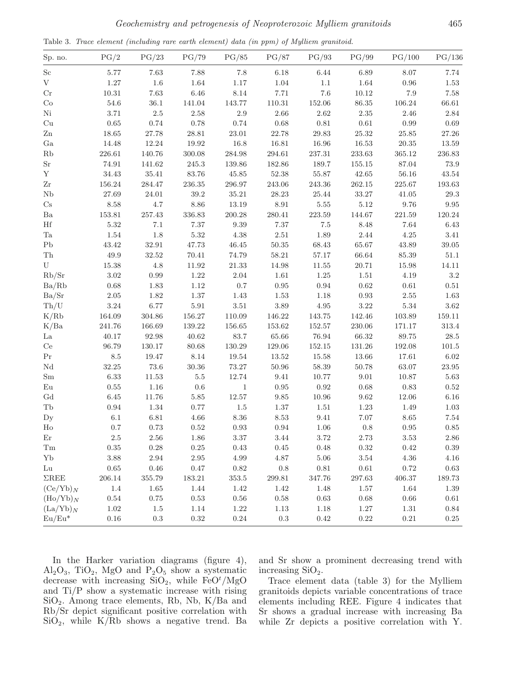Table 3. Trace element (including rare earth element) data (in ppm) of Mylliem granitoid.

| Sp. no.                             | PG/2            | PG/23     | PG/79     | PG/85        | PG/87                    | PG/93      | PG/99      | PG/100     | PG/136              |
|-------------------------------------|-----------------|-----------|-----------|--------------|--------------------------|------------|------------|------------|---------------------|
| $\rm Sc$                            | $5.77\,$        | 7.63      | 7.88      | 7.8          | 6.18                     | 6.44       | 6.89       | 8.07       | 7.74                |
| $\mathbf{V}$                        | $1.27\,$        | 1.6       | 1.64      | 1.17         | 1.04                     | $1.1\,$    | 1.64       | 0.96       | 1.53                |
| Cr                                  | $10.31\,$       | 7.63      | $6.46\,$  | $8.14\,$     | 7.71                     | $7.6\,$    | $10.12\,$  | $7.9\,$    | 7.58                |
| $\rm{Co}$                           | $54.6\,$        | $36.1\,$  | 141.04    | 143.77       | $110.31\,$               | 152.06     | 86.35      | 106.24     | 66.61               |
| $\rm Ni$                            | 3.71            | $2.5\,$   | 2.58      | $2.9\,$      | 2.66                     | $2.62\,$   | $2.35\,$   | 2.46       | 2.84                |
| Cu                                  | 0.65            | 0.74      | 0.78      | 0.74         | 0.68                     | $0.81\,$   | $0.61\,$   | 0.99       | $0.69\,$            |
| ${\rm Zn}$                          | 18.65           | 27.78     | 28.81     | 23.01        | 22.78                    | 29.83      | 25.32      | 25.85      | 27.26               |
| $\rm Ga$                            | 14.48           | 12.24     | 19.92     | 16.8         | 16.81                    | 16.96      | 16.53      | 20.35      | $13.59\,$           |
| Rb                                  | 226.61          | 140.76    | 300.08    | 284.98       | 294.61                   | $237.31\,$ | 233.63     | 365.12     | 236.83              |
| $\rm Sr$                            | 74.91           | 141.62    | 245.3     | 139.86       | 182.86                   | 189.7      | 155.15     | 87.04      | $73.9\,$            |
| $\mathbf Y$                         | 34.43           | 35.41     | 83.76     | 45.85        | 52.38                    | 55.87      | 42.65      | 56.16      | $\!3.54$            |
| $\operatorname{Zr}$                 | 156.24          | 284.47    | 236.35    | 296.97       | 243.06                   | 243.36     | 262.15     | 225.67     | $193.63\,$          |
| <b>Nb</b>                           | 27.69           | 24.01     | $39.2\,$  | $35.21\,$    | 28.23                    | 25.44      | 33.27      | 41.05      | $29.3\,$            |
| $\mathrm{Cs}$                       | $8.58\,$        | 4.7       | 8.86      | 13.19        | $8.91\,$                 | $5.55\,$   | $5.12\,$   | 9.76       | $\boldsymbol{9.95}$ |
| $\rm Ba$                            | 153.81          | 257.43    | 336.83    | 200.28       | 280.41                   | $223.59\,$ | 144.67     | $221.59\,$ | 120.24              |
| Hf                                  | $5.32\,$        | $7.1\,$   | 7.37      | 9.39         | 7.37                     | $7.5\,$    | 8.48       | 7.64       | $6.43\,$            |
| $\rm Ta$                            | 1.54            | $1.8\,$   | $5.32\,$  | 4.38         | $2.51\,$                 | 1.89       | 2.44       | $4.25\,$   | $3.41\,$            |
| Pb                                  | 43.42           | $32.91\,$ | 47.73     | $46.45\,$    | $50.35\,$                | 68.43      | 65.67      | $\!3.89$   | $39.05\,$           |
| ${\rm Th}$                          | 49.9            | $32.52\,$ | $70.41\,$ | 74.79        | 58.21                    | 57.17      | 66.64      | $85.39\,$  | $51.1\,$            |
| U                                   | 15.38           | 4.8       | 11.92     | $21.33\,$    | 14.98                    | $11.55\,$  | $20.71\,$  | 15.98      | 14.11               |
| Rb/Sr                               | $3.02\,$        | 0.99      | $1.22\,$  | $2.04\,$     | $1.61\,$                 | $1.25\,$   | $1.51\,$   | $4.19\,$   | $\!3.2\!$           |
| Ba/Rb                               | 0.68            | 1.83      | $1.12\,$  | $0.7\,$      | 0.95                     | 0.94       | 0.62       | $\rm 0.61$ | $0.51\,$            |
| Ba/Sr                               | $2.05\,$        | 1.82      | 1.37      | 1.43         | 1.53                     | 1.18       | 0.93       | $2.55\,$   | $1.63\,$            |
| Th/U                                | $3.24\,$        | 6.77      | $5.91\,$  | $3.51\,$     | $3.89\,$                 | $4.95\,$   | $3.22\,$   | $5.34\,$   | $3.62\,$            |
| K/Rb                                | 164.09          | 304.86    | 156.27    | 110.09       | 146.22                   | $143.75\,$ | 142.46     | 103.89     | 159.11              |
| K/Ba                                | 241.76          | 166.69    | 139.22    | 156.65       | 153.62                   | 152.57     | 230.06     | 171.17     | $313.4\,$           |
| La                                  | 40.17           | 92.98     | 40.62     | 83.7         | 65.66                    | 76.94      | 66.32      | 89.75      | $28.5\,$            |
| $\rm Ce$                            | 96.79           | 130.17    | 80.68     | 130.29       | 129.06                   | 152.15     | 131.26     | 192.08     | $101.5\,$           |
| $\Pr$                               | $\!\!\!\!\!8.5$ | 19.47     | 8.14      | 19.54        | $13.52\,$                | $15.58\,$  | 13.66      | 17.61      | $6.02\,$            |
| Nd                                  | 32.25           | 73.6      | $30.36\,$ | 73.27        | 50.96                    | 58.39      | 50.78      | 63.07      | $23.95\,$           |
| $\mathrm{Sm}% _{H}=\mathrm{Sm}_{H}$ | 6.33            | 11.53     | $5.5\,$   | 12.74        | 9.41                     | 10.77      | $\,9.01$   | 10.87      | 5.63                |
| $\mathop{\mathrm{Eu}}\nolimits$     | $0.55\,$        | 1.16      | $0.6\,$   | $\mathbf{1}$ | 0.95                     | 0.92       | 0.68       | $0.83\,$   | 0.52                |
| $\rm{Gd}$                           | 6.45            | 11.76     | 5.85      | 12.57        | 9.85                     | 10.96      | $9.62\,$   | 12.06      | 6.16                |
| $\operatorname{Th}$                 | 0.94            | 1.34      | 0.77      | 1.5          | 1.37                     | 1.51       | 1.23       | 1.49       | $1.03\,$            |
| Dy                                  | 6.1             | $6.81\,$  | 4.66      | 8.36         | 8.53                     | $\,9.41$   | 7.07       | 8.65       | 7.54                |
| $H_0$                               | $0.7\,$         | 0.73      | 0.52      | $\rm 0.93$   | $0.94\,$                 | $1.06\,$   | $0.8\,$    | $\rm 0.95$ | $0.85\,$            |
| Er                                  | 2.5             | 2.56      | 1.86      | 3.37         | 3.44                     | 3.72       | $2.73\,$   | 3.53       | $2.86\,$            |
| $\operatorname{Tm}$                 | $0.35\,$        | $0.28\,$  | $0.25\,$  | $0.43\,$     | $0.45\,$                 | 0.48       | $0.32\,$   | $0.42\,$   | $0.39\,$            |
| Yb                                  | 3.88            | 2.94      | $2.95\,$  | 4.99         | 4.87                     | $5.06\,$   | $3.54\,$   | $4.36\,$   | $4.16\,$            |
| Lu                                  | $0.65\,$        | $0.46\,$  | $0.47\,$  | $0.82\,$     | $0.8\,$                  | $0.81\,$   | $0.61\,$   | $0.72\,$   | $0.63\,$            |
| $\Sigma \text{REE}$                 | 206.14          | 355.79    | 183.21    | $353.5\,$    | $\hphantom{0,\!0}299.81$ | 347.76     | $297.63\,$ | $406.37\,$ | $189.73\,$          |
| $(Ce/Yb)_N$                         | $1.4\,$         | $1.65\,$  | 1.44      | 1.42         | 1.42                     | 1.48       | $1.57\,$   | 1.64       | $1.39\,$            |
| $(\text{Ho}/\text{Yb})_N$           | $0.54\,$        | $0.75\,$  | $0.53\,$  | $0.56\,$     | $0.58\,$                 | $\rm 0.63$ | $0.68\,$   | $0.66\,$   | $0.61\,$            |
| $(La/Yb)_N$                         | $1.02\,$        | $1.5\,$   | 1.14      | 1.22         | $1.13\,$                 | 1.18       | $1.27\,$   | $1.31\,$   | $0.84\,$            |
| $Eu/Eu^*$                           | $0.16\,$        | $\rm 0.3$ | $0.32\,$  | $0.24\,$     | $\rm 0.3$                | 0.42       | $0.22\,$   | $0.21\,$   | $0.25\,$            |

In the Harker variation diagrams (figure 4),  $Al_2O_3$ , TiO<sub>2</sub>, MgO and P<sub>2</sub>O<sub>5</sub> show a systematic decrease with increasing  $SiO_2$ , while  $FeO^t/MgO$ and Ti/P show a systematic increase with rising  $SiO<sub>2</sub>$ . Among trace elements, Rb, Nb, K/Ba and Rb/Sr depict significant positive correlation with  $SiO<sub>2</sub>$ , while K/Rb shows a negative trend. Ba and Sr show a prominent decreasing trend with increasing  $SiO<sub>2</sub>$ .

Trace element data (table 3) for the Mylliem granitoids depicts variable concentrations of trace elements including REE. Figure 4 indicates that Sr shows a gradual increase with increasing Ba while Zr depicts a positive correlation with Y.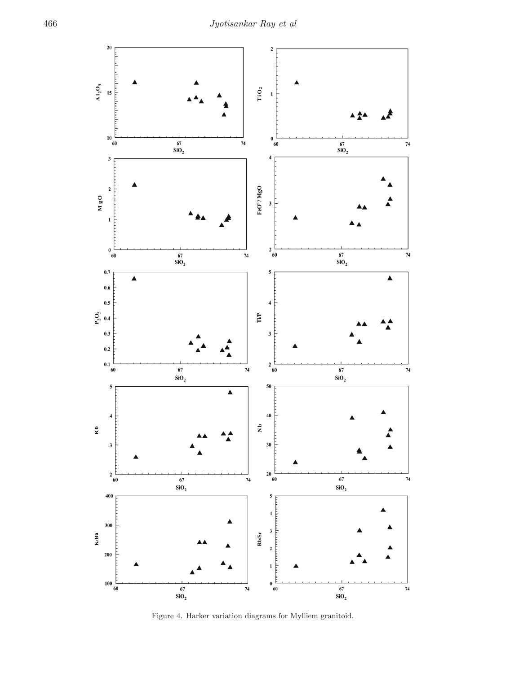

Figure 4. Harker variation diagrams for Mylliem granitoid.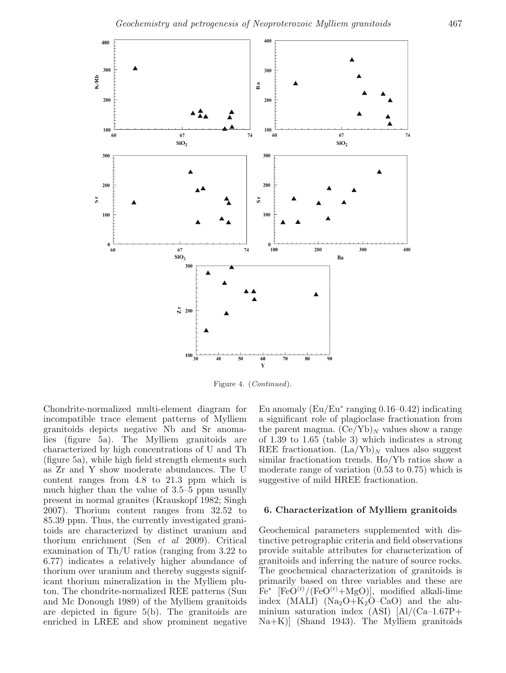

Figure 4. (Continued).

Chondrite-normalized multi-element diagram for incompatible trace element patterns of Mylliem granitoids depicts negative Nb and Sr anomalies (figure 5a). The Mylliem granitoids are characterized by high concentrations of U and Th (figure 5a), while high field strength elements such as Zr and Y show moderate abundances. The U content ranges from 4.8 to 21.3 ppm which is much higher than the value of 3.5–5 ppm usually present in normal granites (Krauskopf 1982; Singh 2007). Thorium content ranges from 32.52 to 85.39 ppm. Thus, the currently investigated granitoids are characterized by distinct uranium and thorium enrichment (Sen et al 2009). Critical examination of Th/U ratios (ranging from 3.22 to 6.77) indicates a relatively higher abundance of thorium over uranium and thereby suggests significant thorium mineralization in the Mylliem pluton. The chondrite-normalized REE patterns (Sun and Mc Donough 1989) of the Mylliem granitoids are depicted in figure 5(b). The granitoids are enriched in LREE and show prominent negative

Eu anomaly  $(Eu/Eu^*$  ranging 0.16–0.42) indicating a significant role of plagioclase fractionation from the parent magma.  $(\text{Ce/Yb})_N$  values show a range of 1.39 to 1.65 (table 3) which indicates a strong REE fractionation.  $(La/Yb)<sub>N</sub>$  values also suggest similar fractionation trends. Ho/Yb ratios show a moderate range of variation (0.53 to 0.75) which is suggestive of mild HREE fractionation.

## **6. Characterization of Mylliem granitoids**

Geochemical parameters supplemented with distinctive petrographic criteria and field observations provide suitable attributes for characterization of granitoids and inferring the nature of source rocks. The geochemical characterization of granitoids is primarily based on three variables and these are  $\text{Fe}^*$  [FeO<sup>(t)</sup>/(FeO<sup>(t)</sup>+MgO)], modified alkali-lime index (MALI)  $(Na<sub>2</sub>O+K<sub>2</sub>O-CaO)$  and the aluminium saturation index  $(ASI)$   $[Al/(Ca-1.67P+$ Na+K)] (Shand 1943). The Mylliem granitoids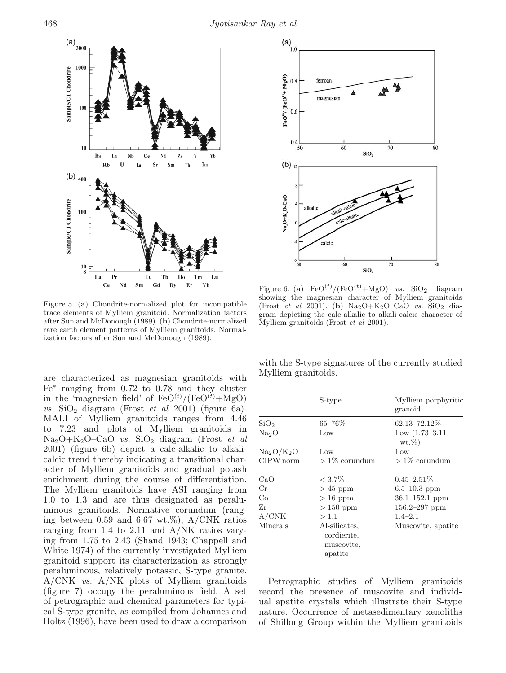

Figure 5. (**a**) Chondrite-normalized plot for incompatible trace elements of Mylliem granitoid. Normalization factors after Sun and McDonough (1989). (**b**) Chondrite-normalized rare earth element patterns of Mylliem granitoids. Normalization factors after Sun and McDonough (1989).

are characterized as magnesian granitoids with Fe<sup>∗</sup> ranging from 0.72 to 0.78 and they cluster in the 'magnesian field' of  $\text{FeO}^{(t)}/(\text{FeO}^{(t)} + \text{MgO})$ vs.  $\text{SiO}_2$  diagram (Frost *et al* 2001) (figure 6a). MALI of Mylliem granitoids ranges from 4.46 to 7.23 and plots of Mylliem granitoids in  $Na<sub>2</sub>O+K<sub>2</sub>O-CaO$  vs.  $SiO<sub>2</sub>$  diagram (Frost *et al* 2001) (figure 6b) depict a calc-alkalic to alkalicalcic trend thereby indicating a transitional character of Mylliem granitoids and gradual potash enrichment during the course of differentiation. The Mylliem granitoids have ASI ranging from 1.0 to 1.3 and are thus designated as peraluminous granitoids. Normative corundum (ranging between 0.59 and 6.67 wt.%),  $A/CNK$  ratios ranging from 1.4 to 2.11 and A/NK ratios varying from 1.75 to 2.43 (Shand 1943; Chappell and White 1974) of the currently investigated Mylliem granitoid support its characterization as strongly peraluminous, relatively potassic, S-type granite. A/CNK vs. A/NK plots of Mylliem granitoids (figure 7) occupy the peraluminous field. A set of petrographic and chemical parameters for typical S-type granite, as compiled from Johannes and Holtz (1996), have been used to draw a comparison



Figure 6. (a)  $\text{FeO}^{(t)}/(\text{FeO}^{(t)} + \text{MgO})$  vs. SiO<sub>2</sub> diagram showing the magnesian character of Mylliem granitoids (Frost et al 2001). (**b**) Na2O+K2O–CaO vs. SiO2 diagram depicting the calc-alkalic to alkali-calcic character of Mylliem granitoids (Frost et al 2001).

with the S-type signatures of the currently studied Mylliem granitoids.

|                                    | S-type          | Mylliem porphyritic<br>granoid        |
|------------------------------------|-----------------|---------------------------------------|
| SiO <sub>2</sub>                   | $65 - 76\%$     | 62.13-72.12\%                         |
| Na <sub>2</sub> O                  | Low             | Low $(1.73-3.11)$<br>$wt \mathcal{K}$ |
| Na <sub>2</sub> O/K <sub>2</sub> O | Low             | Low                                   |
| CIPW norm                          | $>1\%$ corundum | $>1\%$ corundum                       |
| CaO                                | $< 3.7\%$       | $0.45 - 2.51\%$                       |
| Сr                                 | $> 45$ ppm      | $6.5-10.3$ ppm                        |
| Co                                 | $>16$ ppm       | $36.1 - 152.1$ ppm                    |
| Zr                                 | $>150$ ppm      | $156.2 - 297$ ppm                     |
| A/CNK                              | >1.1            | $1.4 - 2.1$                           |
| Minerals                           | Al-silicates,   | Muscovite, apatite                    |
|                                    | cordierite.     |                                       |
|                                    | muscovite.      |                                       |
|                                    | apatite         |                                       |

Petrographic studies of Mylliem granitoids record the presence of muscovite and individual apatite crystals which illustrate their S-type nature. Occurrence of metasedimentary xenoliths of Shillong Group within the Mylliem granitoids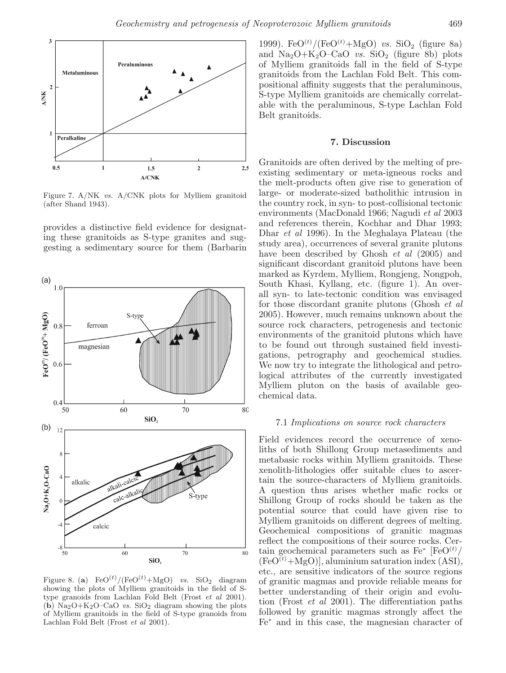

Figure 7. A/NK vs. A/CNK plots for Mylliem granitoid (after Shand 1943).

provides a distinctive field evidence for designating these granitoids as S-type granites and suggesting a sedimentary source for them (Barbarin



Figure 8. (a)  $\text{FeO}^{(t)}/(\text{FeO}^{(t)} + \text{MgO})$  vs.  $\text{SiO}_2$  diagram showing the plots of Mylliem granitoids in the field of Stype granoids from Lachlan Fold Belt (Frost et al 2001). (**b**)  $\text{Na}_2\text{O}+\text{K}_2\text{O}-\text{CaO}$  vs.  $\text{SiO}_2$  diagram showing the plots of Mylliem granitoids in the field of S-type granoids from Lachlan Fold Belt (Frost et al 2001).

1999). Fe $O^{(t)}/(FeO^{(t)}+MgO)$  vs. SiO<sub>2</sub> (figure 8a) and  $Na<sub>2</sub>O+K<sub>2</sub>O-CaO$  vs.  $SiO<sub>2</sub>$  (figure 8b) plots of Mylliem granitoids fall in the field of S-type granitoids from the Lachlan Fold Belt. This compositional affinity suggests that the peraluminous, S-type Mylliem granitoids are chemically correlatable with the peraluminous, S-type Lachlan Fold Belt granitoids.

## **7. Discussion**

Granitoids are often derived by the melting of preexisting sedimentary or meta-igneous rocks and the melt-products often give rise to generation of large- or moderate-sized batholithic intrusion in the country rock, in syn- to post-collisional tectonic environments (MacDonald 1966; Nagudi et al 2003 and references therein, Kochhar and Dhar 1993; Dhar et al 1996). In the Meghalaya Plateau (the study area), occurrences of several granite plutons have been described by Ghosh et al (2005) and significant discordant granitoid plutons have been marked as Kyrdem, Mylliem, Rongjeng, Nongpoh, South Khasi, Kyllang, etc. (figure 1). An overall syn- to late-tectonic condition was envisaged for those discordant granite plutons (Ghosh et al 2005). However, much remains unknown about the source rock characters, petrogenesis and tectonic environments of the granitoid plutons which have to be found out through sustained field investigations, petrography and geochemical studies. We now try to integrate the lithological and petrological attributes of the currently investigated Mylliem pluton on the basis of available geochemical data.

#### 7.1 Implications on source rock characters

Field evidences record the occurrence of xenoliths of both Shillong Group metasediments and metabasic rocks within Mylliem granitoids. These xenolith-lithologies offer suitable clues to ascertain the source-characters of Mylliem granitoids. A question thus arises whether mafic rocks or Shillong Group of rocks should be taken as the potential source that could have given rise to Mylliem granitoids on different degrees of melting. Geochemical compositions of granitic magmas reflect the compositions of their source rocks. Certain geochemical parameters such as  $\text{Fe}^*$   $\text{[FeO]}^{(t)}/$  $(FeO^{(t)} + MgO)$ , aluminium saturation index  $(ASI)$ , etc., are sensitive indicators of the source regions of granitic magmas and provide reliable means for better understanding of their origin and evolution (Frost et al 2001). The differentiation paths followed by granitic magmas strongly affect the Fe<sup>∗</sup> and in this case, the magnesian character of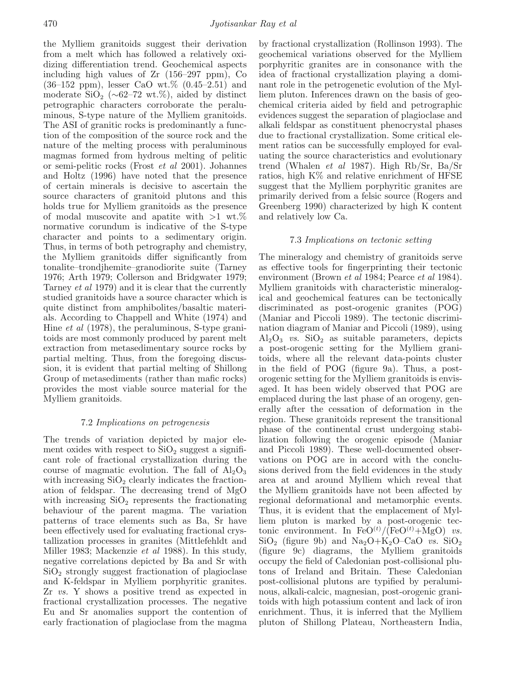the Mylliem granitoids suggest their derivation from a melt which has followed a relatively oxidizing differentiation trend. Geochemical aspects including high values of Zr (156–297 ppm), Co  $(36-152 \text{ ppm})$ , lesser CaO wt.%  $(0.45-2.51)$  and moderate SiO<sub>2</sub> ( $\sim$ 62–72 wt.%), aided by distinct petrographic characters corroborate the peraluminous, S-type nature of the Mylliem granitoids. The ASI of granitic rocks is predominantly a function of the composition of the source rock and the nature of the melting process with peraluminous magmas formed from hydrous melting of pelitic or semi-pelitic rocks (Frost et al 2001). Johannes and Holtz (1996) have noted that the presence of certain minerals is decisive to ascertain the source characters of granitoid plutons and this holds true for Mylliem granitoids as the presence of modal muscovite and apatite with  $>1$  wt.% normative corundum is indicative of the S-type character and points to a sedimentary origin. Thus, in terms of both petrography and chemistry, the Mylliem granitoids differ significantly from tonalite–trondjhemite–granodiorite suite (Tarney 1976; Arth 1979; Collerson and Bridgwater 1979; Tarney et al 1979) and it is clear that the currently studied granitoids have a source character which is quite distinct from amphibolites/basaltic materials. According to Chappell and White (1974) and Hine et al (1978), the peraluminous, S-type granitoids are most commonly produced by parent melt extraction from metasedimentary source rocks by partial melting. Thus, from the foregoing discussion, it is evident that partial melting of Shillong Group of metasediments (rather than mafic rocks) provides the most viable source material for the Mylliem granitoids.

## 7.2 Implications on petrogenesis

The trends of variation depicted by major element oxides with respect to  $SiO<sub>2</sub>$  suggest a significant role of fractional crystallization during the course of magmatic evolution. The fall of  $Al_2O_3$ with increasing  $SiO<sub>2</sub>$  clearly indicates the fractionation of feldspar. The decreasing trend of MgO with increasing  $SiO<sub>2</sub>$  represents the fractionating behaviour of the parent magma. The variation patterns of trace elements such as Ba, Sr have been effectively used for evaluating fractional crystallization processes in granites (Mittlefehldt and Miller 1983; Mackenzie et al 1988). In this study, negative correlations depicted by Ba and Sr with  $SiO<sub>2</sub>$  strongly suggest fractionation of plagioclase and K-feldspar in Mylliem porphyritic granites. Zr vs. Y shows a positive trend as expected in fractional crystallization processes. The negative Eu and Sr anomalies support the contention of early fractionation of plagioclase from the magma by fractional crystallization (Rollinson 1993). The geochemical variations observed for the Mylliem porphyritic granites are in consonance with the idea of fractional crystallization playing a dominant role in the petrogenetic evolution of the Mylliem pluton. Inferences drawn on the basis of geochemical criteria aided by field and petrographic evidences suggest the separation of plagioclase and alkali feldspar as constituent phenocrystal phases due to fractional crystallization. Some critical element ratios can be successfully employed for evaluating the source characteristics and evolutionary trend (Whalen et al 1987). High Rb/Sr, Ba/Sr ratios, high K% and relative enrichment of HFSE suggest that the Mylliem porphyritic granites are primarily derived from a felsic source (Rogers and Greenberg 1990) characterized by high K content and relatively low Ca.

# 7.3 Implications on tectonic setting

The mineralogy and chemistry of granitoids serve as effective tools for fingerprinting their tectonic environment (Brown et al 1984; Pearce et al 1984). Mylliem granitoids with characteristic mineralogical and geochemical features can be tectonically discriminated as post-orogenic granites (POG) (Maniar and Piccoli 1989). The tectonic discrimination diagram of Maniar and Piccoli (1989), using  $\text{Al}_2\text{O}_3$  vs.  $\text{SiO}_2$  as suitable parameters, depicts a post-orogenic setting for the Mylliem granitoids, where all the relevant data-points cluster in the field of POG (figure 9a). Thus, a postorogenic setting for the Mylliem granitoids is envisaged. It has been widely observed that POG are emplaced during the last phase of an orogeny, generally after the cessation of deformation in the region. These granitoids represent the transitional phase of the continental crust undergoing stabilization following the orogenic episode (Maniar and Piccoli 1989). These well-documented observations on POG are in accord with the conclusions derived from the field evidences in the study area at and around Mylliem which reveal that the Mylliem granitoids have not been affected by regional deformational and metamorphic events. Thus, it is evident that the emplacement of Mylliem pluton is marked by a post-orogenic tectonic environment. In FeO $^{(t)}/$ (FeO $^{(t)}+$ MgO) vs.  $SiO<sub>2</sub>$  (figure 9b) and  $Na<sub>2</sub>O+K<sub>2</sub>O$ -CaO vs.  $SiO<sub>2</sub>$ (figure 9c) diagrams, the Mylliem granitoids occupy the field of Caledonian post-collisional plutons of Ireland and Britain. These Caledonian post-collisional plutons are typified by peraluminous, alkali-calcic, magnesian, post-orogenic granitoids with high potassium content and lack of iron enrichment. Thus, it is inferred that the Mylliem pluton of Shillong Plateau, Northeastern India,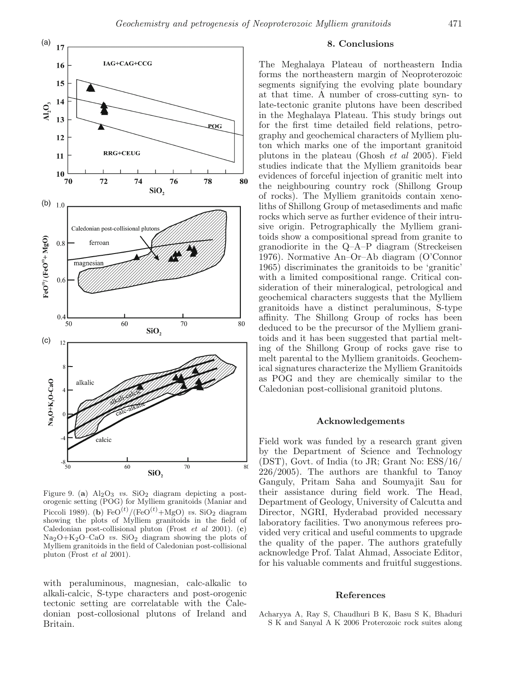

Figure 9. (a)  $Al_2O_3$  vs.  $SiO_2$  diagram depicting a postorogenic setting (POG) for Mylliem granitoids (Maniar and Piccoli 1989). (**b**)  $\text{FeO}^{(t)}/(\text{FeO}^{(t)} + \text{MgO})$  vs. SiO<sub>2</sub> diagram showing the plots of Mylliem granitoids in the field of Caledonian post-collisional pluton (Frost et al 2001). (**c**)  $Na<sub>2</sub>O+K<sub>2</sub>O-CaO$  vs.  $SiO<sub>2</sub>$  diagram showing the plots of Mylliem granitoids in the field of Caledonian post-collisional pluton (Frost et al 2001).

with peraluminous, magnesian, calc-alkalic to alkali-calcic, S-type characters and post-orogenic tectonic setting are correlatable with the Caledonian post-collosional plutons of Ireland and Britain.

## **8. Conclusions**

The Meghalaya Plateau of northeastern India forms the northeastern margin of Neoproterozoic segments signifying the evolving plate boundary at that time. A number of cross-cutting syn- to late-tectonic granite plutons have been described in the Meghalaya Plateau. This study brings out for the first time detailed field relations, petrography and geochemical characters of Mylliem pluton which marks one of the important granitoid plutons in the plateau (Ghosh et al 2005). Field studies indicate that the Mylliem granitoids bear evidences of forceful injection of granitic melt into the neighbouring country rock (Shillong Group of rocks). The Mylliem granitoids contain xenoliths of Shillong Group of metasediments and mafic rocks which serve as further evidence of their intrusive origin. Petrographically the Mylliem granitoids show a compositional spread from granite to granodiorite in the Q–A–P diagram (Streckeisen 1976). Normative An–Or–Ab diagram (O'Connor 1965) discriminates the granitoids to be 'granitic' with a limited compositional range. Critical consideration of their mineralogical, petrological and geochemical characters suggests that the Mylliem granitoids have a distinct peraluminous, S-type affinity. The Shillong Group of rocks has been deduced to be the precursor of the Mylliem granitoids and it has been suggested that partial melting of the Shillong Group of rocks gave rise to melt parental to the Mylliem granitoids. Geochemical signatures characterize the Mylliem Granitoids as POG and they are chemically similar to the Caledonian post-collisional granitoid plutons.

#### **Acknowledgements**

Field work was funded by a research grant given by the Department of Science and Technology (DST), Govt. of India (to JR; Grant No: ESS/16/ 226/2005). The authors are thankful to Tanoy Ganguly, Pritam Saha and Soumyajit Sau for their assistance during field work. The Head, Department of Geology, University of Calcutta and Director, NGRI, Hyderabad provided necessary laboratory facilities. Two anonymous referees provided very critical and useful comments to upgrade the quality of the paper. The authors gratefully acknowledge Prof. Talat Ahmad, Associate Editor, for his valuable comments and fruitful suggestions.

#### **References**

Acharyya A, Ray S, Chaudhuri B K, Basu S K, Bhaduri S K and Sanyal A K 2006 Proterozoic rock suites along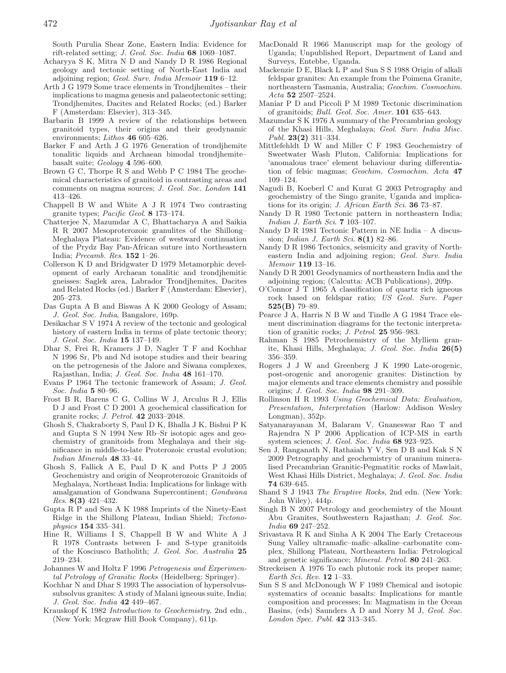South Purulia Shear Zone, Eastern India: Evidence for rift-related setting; J. Geol. Soc. India **68** 1069–1087.

- Acharyya S K, Mitra N D and Nandy D R 1986 Regional geology and tectonic setting of North-East India and adjoining region; Geol. Surv. India Memoir **119** 6–12.
- Arth J G 1979 Some trace elements in Trondjhemites their implications to magma genesis and palaeotectonic setting; Trondjhemites, Dacites and Related Rocks; (ed.) Barker F (Amsterdam: Elsevier), 313–345.
- Barbarin B 1999 A review of the relationships between granitoid types, their origins and their geodynamic environments; Lithos **46** 605–626.
- Barker F and Arth J G 1976 Generation of trondjhemite tonalitic liquids and Archaean bimodal trondjhemite– basalt suite; Geology **4** 596–600.
- Brown G C, Thorpe R S and Webb P C 1984 The geochemical characteristics of granitoid in contrasting areas and comments on magma sources; J. Geol. Soc. London **141** 413–426.
- Chappell B W and White A J R 1974 Two contrasting granite types; Pacific Geol. **8** 173–174.
- Chatterjee N, Mazumdar A C, Bhattacharya A and Saikia R R 2007 Mesoproterozoic granulites of the Shillong– Meghalaya Plateau: Evidence of westward continuation of the Prydz Bay Pan-African suture into Northeastern India; Precamb. Res. **152** 1–26.
- Collerson K D and Bridgwater D 1979 Metamorphic development of early Archaean tonalitic and trondjhemitic gneisses: Saglek area, Labrador Trondjhemites, Dacites and Related Rocks (ed.) Barker F (Amsterdam: Elsevier), 205–273.
- Das Gupta A B and Biswas A K 2000 Geology of Assam; J. Geol. Soc. India, Bangalore, 169p.
- Desikachar S V 1974 A review of the tectonic and geological history of eastern India in terms of plate tectonic theory; J. Geol. Soc. India **15** 137–149.
- Dhar S, Frei R, Kramers J D, Nagler T F and Kochhar N 1996 Sr, Pb and Nd isotope studies and their bearing on the petrogenesis of the Jalore and Siwana complexes, Rajasthan, India; J. Geol. Soc. India **48** 161–170.
- Evans P 1964 The tectonic framework of Assam; J. Geol. Soc. India **5** 80–96.
- Frost B R, Barens C G, Collins W J, Arculus R J, Ellis D J and Frost C D 2001 A geochemical classification for granite rocks; J. Petrol. **42** 2033–2048.
- Ghosh S, Chakraborty S, Paul D K, Bhalla J K, Bishui P K and Gupta S N 1994 New Rb–Sr isotopic ages and geochemistry of granitoids from Meghalaya and their significance in middle-to-late Proterozoic crustal evolution; Indian Minerals **48** 33–44.
- Ghosh S, Fallick A E, Paul D K and Potts P J 2005 Geochemistry and origin of Neoproterozoic Granitoids of Meghalaya, Northeast India: Implications for linkage with amalgamation of Gondwana Supercontinent; Gondwana Res. **8(3)** 421–432.
- Gupta R P and Sen A K 1988 Imprints of the Ninety-East Ridge in the Shillong Plateau, Indian Shield; Tectonophysics **154** 335–341.
- Hine R, Williams I S, Chappell B W and White A J R 1978 Contrasts between I- and S-type granitoids of the Kosciusco Batholith; J. Geol. Soc. Australia **25** 219–234.
- Johannes W and Holtz F 1996 Petrogenesis and Experimental Petrology of Granitic Rocks (Heidelberg: Springer).
- Kochhar N and Dhar S 1993 The association of hypersolvussubsolvus granites: A study of Malani igneous suite, India; J. Geol. Soc. India **42** 449–467.
- Krauskopf K 1982 Introduction to Geochemistry, 2nd edn., (New York: Mcgraw Hill Book Company), 611p.
- MacDonald R 1966 Manuscript map for the geology of Uganda; Unpublished Report, Department of Land and Surveys, Entebbe, Uganda.
- Mackenzie D E, Black L P and Sun S S 1988 Origin of alkali feldspar granites: An example from the Poimena Granite, northeastern Tasmania, Australia; Geochim. Cosmochim. Acta **52** 2507–2524.
- Maniar P D and Piccoli P M 1989 Tectonic discrimination of granitoids; Bull. Geol. Soc. Amer. **101** 635–643.
- Mazumdar S K 1976 A summary of the Precambrian geology of the Khasi Hills, Meghalaya; Geol. Surv. India Misc. Publ. **23(2)** 311–334.
- Mittlefehldt D W and Miller C F 1983 Geochemistry of Sweetwater Wash Pluton, California: Implications for 'anomalous trace' element behaviour during differentiation of felsic magmas; Geochim. Cosmochim. Acta **47** 109–124.
- Nagudi B, Koeberl C and Kurat G 2003 Petrography and geochemistry of the Singo granite, Uganda and implications for its origin; J. African Earth Sci. **36** 73–87.
- Nandy D R 1980 Tectonic pattern in northeastern India; Indian J. Earth Sci. **7** 103–107.
- Nandy D R 1981 Tectonic Pattern in NE India A discussion; Indian J. Earth Sci. **8(1)** 82–86.
- Nandy D R 1986 Tectonics, seismicity and gravity of Northeastern India and adjoining region; Geol. Surv. India Memoir **119** 13–16.
- Nandy D R 2001 Geodynamics of northeastern India and the adjoining region; (Calcutta: ACB Publications), 209p.
- O'Connor J T 1965 A classification of quartz rich igneous rock based on feldspar ratio; US Geol. Surv. Paper **525(B)** 79–89.
- Pearce J A, Harris N B W and Tindle A G 1984 Trace element discrimination diagrams for the tectonic interpretation of granitic rocks; J. Petrol. **25** 956–983.
- Rahman S 1985 Petrochemistry of the Mylliem granite, Khasi Hills, Meghalaya; J. Geol. Soc. India **26(5)** 356–359.
- Rogers J J W and Greenberg J K 1990 Late-orogenic, post-orogenic and anorogenic granites: Distinction by major elements and trace elements chemistry and possible origins; J. Geol. Soc. India **98** 291–309.
- Rollinson H R 1993 Using Geochemical Data: Evaluation, Presentation, Interpretation (Harlow: Addison Wesley Longman), 352p.
- Satyanarayanan M, Balaram V, Gnaneswar Rao T and Rajendra N P 2006 Application of ICP-MS in earth system sciences; J. Geol. Soc. India **68** 923–925.
- Sen J, Ranganath N, Rathaiah Y V, Sen D B and Kak S N 2009 Petrography and geochemistry of uranium mineralised Precambrian Granitic-Pegmatitic rocks of Mawlait, West Khasi Hills District, Meghalaya; J. Geol. Soc. India **74** 639–645.
- Shand S J 1943 The Eruptive Rocks, 2nd edn. (New York: John Wiley), 444p.
- Singh B N 2007 Petrology and geochemistry of the Mount Abu Granites, Southwestern Rajasthan; J. Geol. Soc. India **69** 247–252.
- Srivastava R K and Sinha A K 2004 The Early Cretaceous Sung Valley ultramafic–mafic–alkaline–carbonatite complex, Shillong Plateau, Northeastern India: Petrological and genetic significance; Mineral. Petrol. **80** 241–263.
- Streckeisen A 1976 To each plutonic rock its proper name; Earth Sci. Rev. **12** 1–33.
- Sun S S and McDonough W F 1989 Chemical and isotopic systematics of oceanic basalts: Implications for mantle composition and processes; In: Magmatism in the Ocean Basins, (eds) Saunders A D and Norry M J, Geol. Soc. London Spec. Publ. **42** 313–345.